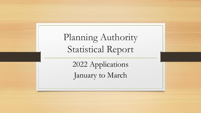Planning Authority Statistical Report

> 2022 Applications January to March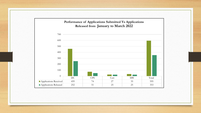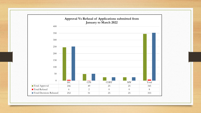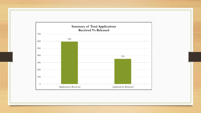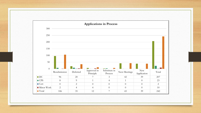